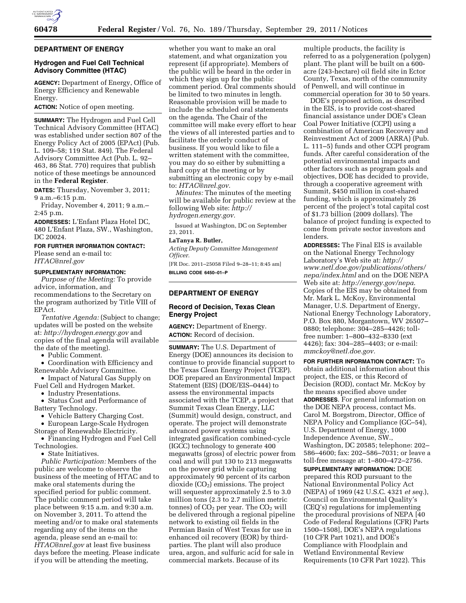

### **DEPARTMENT OF ENERGY**

# **Hydrogen and Fuel Cell Technical Advisory Committee (HTAC)**

**AGENCY:** Department of Energy, Office of Energy Efficiency and Renewable Energy.

**ACTION:** Notice of open meeting.

**SUMMARY:** The Hydrogen and Fuel Cell Technical Advisory Committee (HTAC) was established under section 807 of the Energy Policy Act of 2005 (EPAct) (Pub. L. 109–58; 119 Stat. 849). The Federal Advisory Committee Act (Pub. L. 92– 463, 86 Stat. 770) requires that publish notice of these meetings be announced in the **Federal Register**.

**DATES:** Thursday, November 3, 2011; 9 a.m.–6:15 p.m.

Friday, November 4, 2011; 9 a.m.– 2:45 p.m.

**ADDRESSES:** L'Enfant Plaza Hotel DC, 480 L'Enfant Plaza, SW., Washington, DC 20024.

# **FOR FURTHER INFORMATION CONTACT:**

Please send an e-mail to: *[HTAC@nrel.gov](mailto:HTAC@nrel.gov)* 

# **SUPPLEMENTARY INFORMATION:**

*Purpose of the Meeting:* To provide advice, information, and recommendations to the Secretary on the program authorized by Title VIII of EPAct.

*Tentative Agenda:* (Subject to change; updates will be posted on the website at: *<http://hydrogen.energy.gov>*and copies of the final agenda will available the date of the meeting).

• Public Comment.

• Coordination with Efficiency and Renewable Advisory Committee.

• Impact of Natural Gas Supply on Fuel Cell and Hydrogen Market.

• Industry Presentations.

• Status Cost and Performance of Battery Technology.

• Vehicle Battery Charging Cost.

• European Large-Scale Hydrogen

Storage of Renewable Electricity.

• Financing Hydrogen and Fuel Cell Technologies.

• State Initiatives.

*Public Participation:* Members of the public are welcome to observe the business of the meeting of HTAC and to make oral statements during the specified period for public comment. The public comment period will take place between 9:15 a.m. and 9:30 a.m. on November 3, 2011. To attend the meeting and/or to make oral statements regarding any of the items on the agenda, please send an e-mail to: *[HTAC@nrel.gov](mailto:HTAC@nrel.gov)* at least five business days before the meeting. Please indicate if you will be attending the meeting,

whether you want to make an oral statement, and what organization you represent (if appropriate). Members of the public will be heard in the order in which they sign up for the public comment period. Oral comments should be limited to two minutes in length. Reasonable provision will be made to include the scheduled oral statements on the agenda. The Chair of the committee will make every effort to hear the views of all interested parties and to facilitate the orderly conduct of business. If you would like to file a written statement with the committee, you may do so either by submitting a hard copy at the meeting or by submitting an electronic copy by e-mail to: *[HTAC@nrel.gov.](mailto:HTAC@nrel.gov)* 

*Minutes:* The minutes of the meeting will be available for public review at the following Web site: *[http://](http://hydrogen.energy.gov)  [hydrogen.energy.gov.](http://hydrogen.energy.gov)* 

Issued at Washington, DC on September 23, 2011.

#### **LaTanya R. Butler,**

*Acting Deputy Committee Management Officer.* 

[FR Doc. 2011–25058 Filed 9–28–11; 8:45 am] **BILLING CODE 6450–01–P** 

# **DEPARTMENT OF ENERGY**

# **Record of Decision, Texas Clean Energy Project**

**AGENCY:** Department of Energy. **ACTION:** Record of decision.

**SUMMARY:** The U.S. Department of Energy (DOE) announces its decision to continue to provide financial support to the Texas Clean Energy Project (TCEP). DOE prepared an Environmental Impact Statement (EIS) (DOE/EIS–0444) to assess the environmental impacts associated with the TCEP, a project that Summit Texas Clean Energy, LLC (Summit) would design, construct, and operate. The project will demonstrate advanced power systems using integrated gasification combined-cycle (IGCC) technology to generate 400 megawatts (gross) of electric power from coal and will put 130 to 213 megawatts on the power grid while capturing approximately 90 percent of its carbon dioxide  $(CO<sub>2</sub>)$  emissions. The project will sequester approximately 2.5 to 3.0 million tons (2.3 to 2.7 million metric tonnes) of  $CO<sub>2</sub>$  per year. The  $CO<sub>2</sub>$  will be delivered through a regional pipeline network to existing oil fields in the Permian Basin of West Texas for use in enhanced oil recovery (EOR) by thirdparties. The plant will also produce urea, argon, and sulfuric acid for sale in commercial markets. Because of its

multiple products, the facility is referred to as a polygeneration (polygen) plant. The plant will be built on a 600 acre (243-hectare) oil field site in Ector County, Texas, north of the community of Penwell, and will continue in commercial operation for 30 to 50 years.

DOE's proposed action, as described in the EIS, is to provide cost-shared financial assistance under DOE's Clean Coal Power Initiative (CCPI) using a combination of American Recovery and Reinvestment Act of 2009 (ARRA) (Pub. L. 111–5) funds and other CCPI program funds. After careful consideration of the potential environmental impacts and other factors such as program goals and objectives, DOE has decided to provide, through a cooperative agreement with Summit, \$450 million in cost-shared funding, which is approximately 26 percent of the project's total capital cost of \$1.73 billion (2009 dollars). The balance of project funding is expected to come from private sector investors and lenders.

**ADDRESSES:** The Final EIS is available on the National Energy Technology Laboratory's Web site at: *[http://](http://www.netl.doe.gov/publications/others/nepa/index.html) [www.netl.doe.gov/publications/others/](http://www.netl.doe.gov/publications/others/nepa/index.html)  [nepa/index.html](http://www.netl.doe.gov/publications/others/nepa/index.html)* and on the DOE NEPA Web site at: *<http://energy.gov/nepa>*. Copies of the EIS may be obtained from Mr. Mark L. McKoy, Environmental Manager, U.S. Department of Energy, National Energy Technology Laboratory, P.O. Box 880, Morgantown, WV 26507– 0880; telephone: 304–285–4426; tollfree number: 1–800–432–8330 (ext 4426); fax: 304–285–4403; or e-mail: *[mmckoy@netl.doe.gov.](mailto:mmckoy@netl.doe.gov)* 

**FOR FURTHER INFORMATION CONTACT:** To obtain additional information about this project, the EIS, or this Record of Decision (ROD), contact Mr. McKoy by the means specified above under **ADDRESSES**. For general information on the DOE NEPA process, contact Ms. Carol M. Borgstrom, Director, Office of NEPA Policy and Compliance (GC–54), U.S. Department of Energy, 1000 Independence Avenue, SW., Washington, DC 20585; telephone: 202– 586–4600; fax: 202–586–7031; or leave a toll-free message at: 1–800–472–2756.

**SUPPLEMENTARY INFORMATION:** DOE prepared this ROD pursuant to the National Environmental Policy Act (NEPA) of 1969 (42 U.S.C. 4321 *et seq.*), Council on Environmental Quality's (CEQ's) regulations for implementing the procedural provisions of NEPA [40 Code of Federal Regulations (CFR) Parts 1500–1508], DOE's NEPA regulations (10 CFR Part 1021), and DOE's Compliance with Floodplain and Wetland Environmental Review Requirements (10 CFR Part 1022). This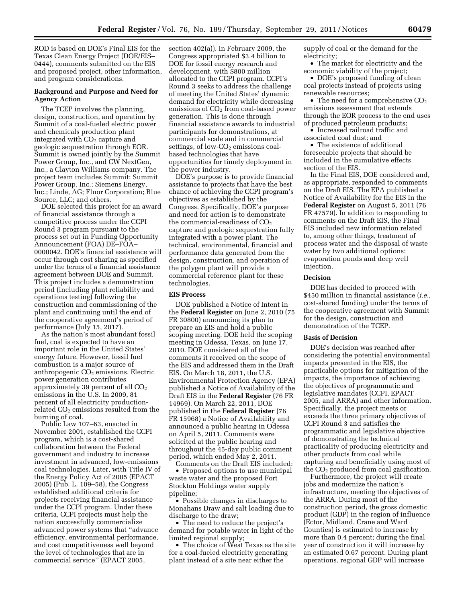ROD is based on DOE's Final EIS for the Texas Clean Energy Project (DOE/EIS– 0444), comments submitted on the EIS and proposed project, other information, and program considerations.

# **Background and Purpose and Need for Agency Action**

The TCEP involves the planning, design, construction, and operation by Summit of a coal-fueled electric power and chemicals production plant integrated with  $CO<sub>2</sub>$  capture and geologic sequestration through EOR. Summit is owned jointly by the Summit Power Group, Inc., and CW NextGen, Inc., a Clayton Williams company. The project team includes Summit; Summit Power Group, Inc.; Siemens Energy, Inc.; Linde, AG; Fluor Corporation; Blue Source, LLC; and others.

DOE selected this project for an award of financial assistance through a competitive process under the CCPI Round 3 program pursuant to the process set out in Funding Opportunity Announcement (FOA) DE–FOA– 0000042. DOE's financial assistance will occur through cost sharing as specified under the terms of a financial assistance agreement between DOE and Summit. This project includes a demonstration period (including plant reliability and operations testing) following the construction and commissioning of the plant and continuing until the end of the cooperative agreement's period of performance (July 15, 2017).

As the nation's most abundant fossil fuel, coal is expected to have an important role in the United States' energy future. However, fossil fuel combustion is a major source of anthropogenic  $CO<sub>2</sub>$  emissions. Electric power generation contributes approximately 39 percent of all  $CO<sub>2</sub>$ emissions in the U.S. In 2009, 81 percent of all electricity productionrelated  $CO<sub>2</sub>$  emissions resulted from the burning of coal.

Public Law 107–63, enacted in November 2001, established the CCPI program, which is a cost-shared collaboration between the Federal government and industry to increase investment in advanced, low-emissions coal technologies. Later, with Title IV of the Energy Policy Act of 2005 (EPACT 2005) (Pub. L. 109–58), the Congress established additional criteria for projects receiving financial assistance under the CCPI program. Under these criteria, CCPI projects must help the nation successfully commercialize advanced power systems that ''advance efficiency, environmental performance, and cost competitiveness well beyond the level of technologies that are in commercial service'' (EPACT 2005,

section 402(a)). In February 2009, the Congress appropriated \$3.4 billion to DOE for fossil energy research and development, with \$800 million allocated to the CCPI program. CCPI's Round 3 seeks to address the challenge of meeting the United States' dynamic demand for electricity while decreasing emissions of  $CO<sub>2</sub>$  from coal-based power generation. This is done through financial assistance awards to industrial participants for demonstrations, at commercial scale and in commercial settings, of low- $CO<sub>2</sub>$  emissions coalbased technologies that have opportunities for timely deployment in the power industry.

DOE's purpose is to provide financial assistance to projects that have the best chance of achieving the CCPI program's objectives as established by the Congress. Specifically, DOE's purpose and need for action is to demonstrate the commercial-readiness of  $CO<sub>2</sub>$ capture and geologic sequestration fully integrated with a power plant. The technical, environmental, financial and performance data generated from the design, construction, and operation of the polygen plant will provide a commercial reference plant for these technologies.

#### **EIS Process**

DOE published a Notice of Intent in the **Federal Register** on June 2, 2010 (75 FR 30800) announcing its plan to prepare an EIS and hold a public scoping meeting. DOE held the scoping meeting in Odessa, Texas, on June 17, 2010. DOE considered all of the comments it received on the scope of the EIS and addressed them in the Draft EIS. On March 18, 2011, the U.S. Environmental Protection Agency (EPA) published a Notice of Availability of the Draft EIS in the **Federal Register** (76 FR 14969). On March 22, 2011, DOE published in the **Federal Register** (76 FR 15968) a Notice of Availability and announced a public hearing in Odessa on April 5, 2011. Comments were solicited at the public hearing and throughout the 45-day public comment period, which ended May 2, 2011.

Comments on the Draft EIS included: • Proposed options to use municipal waste water and the proposed Fort Stockton Holdings water supply pipeline;

• Possible changes in discharges to Monahans Draw and salt loading due to discharge to the draw;

• The need to reduce the project's demand for potable water in light of the limited regional supply;

• The choice of West Texas as the site for a coal-fueled electricity generating plant instead of a site near either the

supply of coal or the demand for the electricity;

• The market for electricity and the economic viability of the project;

• DOE's proposed funding of clean coal projects instead of projects using renewable resources;

• The need for a comprehensive  $CO<sub>2</sub>$ emissions assessment that extends through the EOR process to the end uses of produced petroleum products;

• Increased railroad traffic and associated coal dust; and

• The existence of additional foreseeable projects that should be included in the cumulative effects section of the EIS.

In the Final EIS, DOE considered and, as appropriate, responded to comments on the Draft EIS. The EPA published a Notice of Availability for the EIS in the **Federal Register** on August 5, 2011 (76 FR 47579). In addition to responding to comments on the Draft EIS, the Final EIS included new information related to, among other things, treatment of process water and the disposal of waste water by two additional options: evaporation ponds and deep well injection.

#### **Decision**

DOE has decided to proceed with \$450 million in financial assistance (*i.e.,*  cost-shared funding) under the terms of the cooperative agreement with Summit for the design, construction and demonstration of the TCEP.

### **Basis of Decision**

DOE's decision was reached after considering the potential environmental impacts presented in the EIS, the practicable options for mitigation of the impacts, the importance of achieving the objectives of programmatic and legislative mandates (CCPI, EPACT 2005, and ARRA) and other information. Specifically, the project meets or exceeds the three primary objectives of CCPI Round 3 and satisfies the programmatic and legislative objective of demonstrating the technical practicality of producing electricity and other products from coal while capturing and beneficially using most of the  $CO<sub>2</sub>$  produced from coal gasification.

Furthermore, the project will create jobs and modernize the nation's infrastructure, meeting the objectives of the ARRA. During most of the construction period, the gross domestic product (GDP) in the region of influence (Ector, Midland, Crane and Ward Counties) is estimated to increase by more than 0.4 percent; during the final year of construction it will increase by an estimated 0.67 percent. During plant operations, regional GDP will increase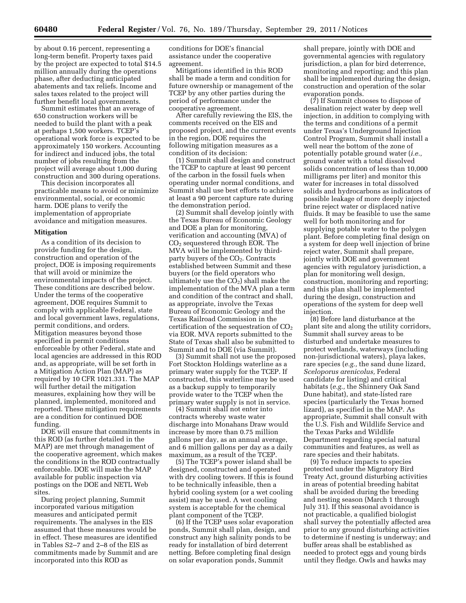by about 0.16 percent, representing a long-term benefit. Property taxes paid by the project are expected to total \$14.5 million annually during the operations phase, after deducting anticipated abatements and tax reliefs. Income and sales taxes related to the project will further benefit local governments.

Summit estimates that an average of 650 construction workers will be needed to build the plant with a peak at perhaps 1,500 workers. TCEP's operational work force is expected to be approximately 150 workers. Accounting for indirect and induced jobs, the total number of jobs resulting from the project will average about 1,000 during construction and 300 during operations.

This decision incorporates all practicable means to avoid or minimize environmental, social, or economic harm. DOE plans to verify the implementation of appropriate avoidance and mitigation measures.

#### **Mitigation**

As a condition of its decision to provide funding for the design, construction and operation of the project, DOE is imposing requirements that will avoid or minimize the environmental impacts of the project. These conditions are described below. Under the terms of the cooperative agreement, DOE requires Summit to comply with applicable Federal, state and local government laws, regulations, permit conditions, and orders. Mitigation measures beyond those specified in permit conditions enforceable by other Federal, state and local agencies are addressed in this ROD and, as appropriate, will be set forth in a Mitigation Action Plan (MAP) as required by 10 CFR 1021.331. The MAP will further detail the mitigation measures, explaining how they will be planned, implemented, monitored and reported. These mitigation requirements are a condition for continued DOE funding.

DOE will ensure that commitments in this ROD (as further detailed in the MAP) are met through management of the cooperative agreement, which makes the conditions in the ROD contractually enforceable. DOE will make the MAP available for public inspection via postings on the DOE and NETL Web sites.

During project planning, Summit incorporated various mitigation measures and anticipated permit requirements. The analyses in the EIS assumed that these measures would be in effect. These measures are identified in Tables S2–7 and 2–8 of the EIS as commitments made by Summit and are incorporated into this ROD as

conditions for DOE's financial assistance under the cooperative agreement.

Mitigations identified in this ROD shall be made a term and condition for future ownership or management of the TCEP by any other parties during the period of performance under the cooperative agreement.

After carefully reviewing the EIS, the comments received on the EIS and proposed project, and the current events in the region, DOE requires the following mitigation measures as a condition of its decision:

(1) Summit shall design and construct the TCEP to capture at least 90 percent of the carbon in the fossil fuels when operating under normal conditions, and Summit shall use best efforts to achieve at least a 90 percent capture rate during the demonstration period.

(2) Summit shall develop jointly with the Texas Bureau of Economic Geology and DOE a plan for monitoring, verification and accounting (MVA) of CO2 sequestered through EOR. The MVA will be implemented by thirdparty buyers of the CO<sub>2</sub>. Contracts established between Summit and these buyers (or the field operators who ultimately use the  $CO<sub>2</sub>$ ) shall make the implementation of the MVA plan a term and condition of the contract and shall, as appropriate, involve the Texas Bureau of Economic Geology and the Texas Railroad Commission in the certification of the sequestration of  $CO<sub>2</sub>$ via EOR. MVA reports submitted to the State of Texas shall also be submitted to Summit and to DOE (via Summit).

(3) Summit shall not use the proposed Fort Stockton Holdings waterline as a primary water supply for the TCEP. If constructed, this waterline may be used as a backup supply to temporarily provide water to the TCEP when the primary water supply is not in service.

(4) Summit shall not enter into contracts whereby waste water discharge into Monahans Draw would increase by more than 0.75 million gallons per day, as an annual average, and 6 million gallons per day as a daily maximum, as a result of the TCEP.

(5) The TCEP's power island shall be designed, constructed and operated with dry cooling towers. If this is found to be technically infeasible, then a hybrid cooling system (or a wet cooling assist) may be used. A wet cooling system is acceptable for the chemical plant component of the TCEP.

(6) If the TCEP uses solar evaporation ponds, Summit shall plan, design, and construct any high salinity ponds to be ready for installation of bird deterrent netting. Before completing final design on solar evaporation ponds, Summit

shall prepare, jointly with DOE and governmental agencies with regulatory jurisdiction, a plan for bird deterrence, monitoring and reporting; and this plan shall be implemented during the design, construction and operation of the solar evaporation ponds.

(7) If Summit chooses to dispose of desalination reject water by deep well injection, in addition to complying with the terms and conditions of a permit under Texas's Underground Injection Control Program, Summit shall install a well near the bottom of the zone of potentially potable ground water (*i.e.,*  ground water with a total dissolved solids concentration of less than 10,000 milligrams per liter) and monitor this water for increases in total dissolved solids and hydrocarbons as indicators of possible leakage of more deeply injected brine reject water or displaced native fluids. It may be feasible to use the same well for both monitoring and for supplying potable water to the polygen plant. Before completing final design on a system for deep well injection of brine reject water, Summit shall prepare, jointly with DOE and government agencies with regulatory jurisdiction, a plan for monitoring well design, construction, monitoring and reporting; and this plan shall be implemented during the design, construction and operations of the system for deep well injection.

(8) Before land disturbance at the plant site and along the utility corridors, Summit shall survey areas to be disturbed and undertake measures to protect wetlands, waterways (including non-jurisdictional waters), playa lakes, rare species (*e.g.,* the sand dune lizard, *Sceloporus arenicolus,* Federal candidate for listing) and critical habitats (*e.g.,* the Shinnery Oak Sand Dune habitat), and state-listed rare species (particularly the Texas horned lizard), as specified in the MAP. As appropriate, Summit shall consult with the U.S. Fish and Wildlife Service and the Texas Parks and Wildlife Department regarding special natural communities and features, as well as rare species and their habitats.

(9) To reduce impacts to species protected under the Migratory Bird Treaty Act, ground disturbing activities in areas of potential breeding habitat shall be avoided during the breeding and nesting season (March 1 through July 31). If this seasonal avoidance is not practicable, a qualified biologist shall survey the potentially affected area prior to any ground disturbing activities to determine if nesting is underway; and buffer areas shall be established as needed to protect eggs and young birds until they fledge. Owls and hawks may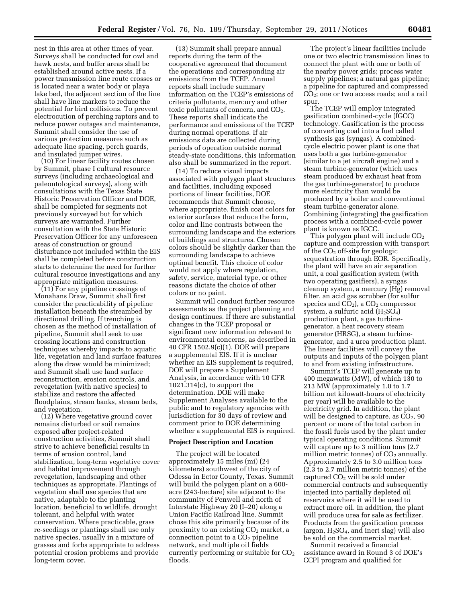nest in this area at other times of year. Surveys shall be conducted for owl and hawk nests, and buffer areas shall be established around active nests. If a power transmission line route crosses or is located near a water body or playa lake bed, the adjacent section of the line shall have line markers to reduce the potential for bird collisions. To prevent electrocution of perching raptors and to reduce power outages and maintenance, Summit shall consider the use of various protection measures such as adequate line spacing, perch guards, and insulated jumper wires.

(10) For linear facility routes chosen by Summit, phase I cultural resource surveys (including archaeological and paleontological surveys), along with consultations with the Texas State Historic Preservation Officer and DOE, shall be completed for segments not previously surveyed but for which surveys are warranted. Further consultation with the State Historic Preservation Officer for any unforeseen areas of construction or ground disturbance not included within the EIS shall be completed before construction starts to determine the need for further cultural resource investigations and any appropriate mitigation measures.

(11) For any pipeline crossings of Monahans Draw, Summit shall first consider the practicability of pipeline installation beneath the streambed by directional drilling. If trenching is chosen as the method of installation of pipeline, Summit shall seek to use crossing locations and construction techniques whereby impacts to aquatic life, vegetation and land surface features along the draw would be minimized; and Summit shall use land surface reconstruction, erosion controls, and revegetation (with native species) to stabilize and restore the affected floodplains, stream banks, stream beds, and vegetation.

(12) Where vegetative ground cover remains disturbed or soil remains exposed after project-related construction activities, Summit shall strive to achieve beneficial results in terms of erosion control, land stabilization, long-term vegetative cover and habitat improvement through revegetation, landscaping and other techniques as appropriate. Plantings of vegetation shall use species that are native, adaptable to the planting location, beneficial to wildlife, drought tolerant, and helpful with water conservation. Where practicable, grass re-seedings or plantings shall use only native species, usually in a mixture of grasses and forbs appropriate to address potential erosion problems and provide long-term cover.

(13) Summit shall prepare annual reports during the term of the cooperative agreement that document the operations and corresponding air emissions from the TCEP. Annual reports shall include summary information on the TCEP's emissions of criteria pollutants, mercury and other toxic pollutants of concern, and  $CO<sub>2</sub>$ . These reports shall indicate the performance and emissions of the TCEP during normal operations. If air emissions data are collected during periods of operation outside normal steady-state conditions, this information also shall be summarized in the report.

(14) To reduce visual impacts associated with polygen plant structures and facilities, including exposed portions of linear facilities, DOE recommends that Summit choose, where appropriate, finish coat colors for exterior surfaces that reduce the form, color and line contrasts between the surrounding landscape and the exteriors of buildings and structures. Chosen colors should be slightly darker than the surrounding landscape to achieve optimal benefit. This choice of color would not apply where regulation, safety, service, material type, or other reasons dictate the choice of other colors or no paint.

Summit will conduct further resource assessments as the project planning and design continues. If there are substantial changes in the TCEP proposal or significant new information relevant to environmental concerns, as described in 40 CFR 1502.9(c)(1), DOE will prepare a supplemental EIS. If it is unclear whether an EIS supplement is required, DOE will prepare a Supplement Analysis, in accordance with 10 CFR 1021.314(c), to support the determination. DOE will make Supplement Analyses available to the public and to regulatory agencies with jurisdiction for 30 days of review and comment prior to DOE determining whether a supplemental EIS is required.

### **Project Description and Location**

The project will be located approximately 15 miles (mi) (24 kilometers) southwest of the city of Odessa in Ector County, Texas. Summit will build the polygen plant on a 600 acre (243-hectare) site adjacent to the community of Penwell and north of Interstate Highway 20 (I–20) along a Union Pacific Railroad line. Summit chose this site primarily because of its proximity to an existing  $CO<sub>2</sub>$  market, a connection point to a  $CO<sub>2</sub>$  pipeline network, and multiple oil fields currently performing or suitable for  $CO<sub>2</sub>$ floods.

The project's linear facilities include one or two electric transmission lines to connect the plant with one or both of the nearby power grids; process water supply pipelines; a natural gas pipeline; a pipeline for captured and compressed CO2; one or two access roads; and a rail spur.

The TCEP will employ integrated gasification combined-cycle (IGCC) technology. Gasification is the process of converting coal into a fuel called synthesis gas (syngas). A combinedcycle electric power plant is one that uses both a gas turbine-generator (similar to a jet aircraft engine) and a steam turbine-generator (which uses steam produced by exhaust heat from the gas turbine-generator) to produce more electricity than would be produced by a boiler and conventional steam turbine-generator alone. Combining (integrating) the gasification process with a combined-cycle power plant is known as IGCC.

This polygen plant will include  $CO<sub>2</sub>$ capture and compression with transport of the  $CO<sub>2</sub>$  off-site for geologic sequestration through EOR. Specifically, the plant will have an air separation unit, a coal gasification system (with two operating gasifiers), a syngas cleanup system, a mercury (Hg) removal filter, an acid gas scrubber (for sulfur species and  $CO<sub>2</sub>$ ), a  $CO<sub>2</sub>$  compressor system, a sulfuric acid  $(H_2SO_4)$ production plant, a gas turbinegenerator, a heat recovery steam generator (HRSG), a steam turbinegenerator, and a urea production plant. The linear facilities will convey the outputs and inputs of the polygen plant to and from existing infrastructure.

Summit's TCEP will generate up to 400 megawatts (MW), of which 130 to 213 MW (approximately 1.0 to 1.7 billion net kilowatt-hours of electricity per year) will be available to the electricity grid. In addition, the plant will be designed to capture, as  $CO<sub>2</sub>$ , 90 percent or more of the total carbon in the fossil fuels used by the plant under typical operating conditions. Summit will capture up to 3 million tons (2.7 million metric tonnes) of  $CO<sub>2</sub>$  annually. Approximately 2.5 to 3.0 million tons (2.3 to 2.7 million metric tonnes) of the captured  $CO<sub>2</sub>$  will be sold under commercial contracts and subsequently injected into partially depleted oil reservoirs where it will be used to extract more oil. In addition, the plant will produce urea for sale as fertilizer. Products from the gasification process (argon,  $H_2SO_4$ , and inert slag) will also be sold on the commercial market.

Summit received a financial assistance award in Round 3 of DOE's CCPI program and qualified for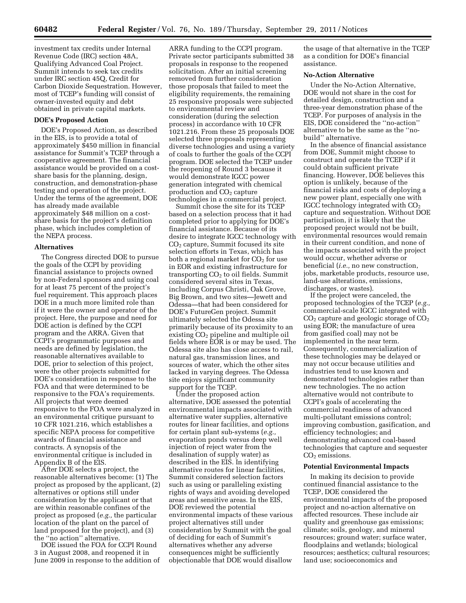investment tax credits under Internal Revenue Code (IRC) section 48A, Qualifying Advanced Coal Project. Summit intends to seek tax credits under IRC section 45Q, Credit for Carbon Dioxide Sequestration. However, most of TCEP's funding will consist of owner-invested equity and debt obtained in private capital markets.

# **DOE's Proposed Action**

DOE's Proposed Action, as described in the EIS, is to provide a total of approximately \$450 million in financial assistance for Summit's TCEP through a cooperative agreement. The financial assistance would be provided on a costshare basis for the planning, design, construction, and demonstration-phase testing and operation of the project. Under the terms of the agreement, DOE has already made available approximately \$48 million on a costshare basis for the project's definition phase, which includes completion of the NEPA process.

### **Alternatives**

The Congress directed DOE to pursue the goals of the CCPI by providing financial assistance to projects owned by non-Federal sponsors and using coal for at least 75 percent of the project's fuel requirement. This approach places DOE in a much more limited role than if it were the owner and operator of the project. Here, the purpose and need for DOE action is defined by the CCPI program and the ARRA. Given that CCPI's programmatic purposes and needs are defined by legislation, the reasonable alternatives available to DOE, prior to selection of this project, were the other projects submitted for DOE's consideration in response to the FOA and that were determined to be responsive to the FOA's requirements. All projects that were deemed responsive to the FOA were analyzed in an environmental critique pursuant to 10 CFR 1021.216, which establishes a specific NEPA process for competitive awards of financial assistance and contracts. A synopsis of the environmental critique is included in Appendix B of the EIS.

After DOE selects a project, the reasonable alternatives become: (1) The project as proposed by the applicant, (2) alternatives or options still under consideration by the applicant or that are within reasonable confines of the project as proposed (*e.g.,* the particular location of the plant on the parcel of land proposed for the project), and (3) the ''no action'' alternative.

DOE issued the FOA for CCPI Round 3 in August 2008, and reopened it in June 2009 in response to the addition of

ARRA funding to the CCPI program. Private sector participants submitted 38 proposals in response to the reopened solicitation. After an initial screening removed from further consideration those proposals that failed to meet the eligibility requirements, the remaining 25 responsive proposals were subjected to environmental review and consideration (during the selection process) in accordance with 10 CFR 1021.216. From these 25 proposals DOE selected three proposals representing diverse technologies and using a variety of coals to further the goals of the CCPI program. DOE selected the TCEP under the reopening of Round 3 because it would demonstrate IGCC power generation integrated with chemical production and  $CO<sub>2</sub>$  capture technologies in a commercial project.

Summit chose the site for its TCEP based on a selection process that it had completed prior to applying for DOE's financial assistance. Because of its desire to integrate IGCC technology with CO2 capture, Summit focused its site selection efforts in Texas, which has both a regional market for  $CO<sub>2</sub>$  for use in EOR and existing infrastructure for transporting  $CO<sub>2</sub>$  to oil fields. Summit considered several sites in Texas, including Corpus Christi, Oak Grove, Big Brown, and two sites—Jewett and Odessa—that had been considered for DOE's FutureGen project. Summit ultimately selected the Odessa site primarily because of its proximity to an existing  $CO<sub>2</sub>$  pipeline and multiple oil fields where EOR is or may be used. The Odessa site also has close access to rail, natural gas, transmission lines, and sources of water, which the other sites lacked in varying degrees. The Odessa site enjoys significant community support for the TCEP.

Under the proposed action alternative, DOE assessed the potential environmental impacts associated with alternative water supplies, alternative routes for linear facilities, and options for certain plant sub-systems (*e.g.,*  evaporation ponds versus deep well injection of reject water from the desalination of supply water) as described in the EIS. In identifying alternative routes for linear facilities, Summit considered selection factors such as using or paralleling existing rights of ways and avoiding developed areas and sensitive areas. In the EIS, DOE reviewed the potential environmental impacts of these various project alternatives still under consideration by Summit with the goal of deciding for each of Summit's alternatives whether any adverse consequences might be sufficiently objectionable that DOE would disallow

the usage of that alternative in the TCEP as a condition for DOE's financial assistance.

### **No-Action Alternative**

Under the No-Action Alternative, DOE would not share in the cost for detailed design, construction and a three-year demonstration phase of the TCEP. For purposes of analysis in the EIS, DOE considered the ''no-action'' alternative to be the same as the ''nobuild'' alternative.

In the absence of financial assistance from DOE, Summit might choose to construct and operate the TCEP if it could obtain sufficient private financing. However, DOE believes this option is unlikely, because of the financial risks and costs of deploying a new power plant, especially one with IGCC technology integrated with CO2 capture and sequestration. Without DOE participation, it is likely that the proposed project would not be built, environmental resources would remain in their current condition, and none of the impacts associated with the project would occur, whether adverse or beneficial (*i.e.,* no new construction, jobs, marketable products, resource use, land-use alterations, emissions, discharges, or wastes).

If the project were canceled, the proposed technologies of the TCEP (*e.g.,*  commercial-scale IGCC integrated with  $CO<sub>2</sub>$  capture and geologic storage of  $CO<sub>2</sub>$ using EOR; the manufacture of urea from gasified coal) may not be implemented in the near term. Consequently, commercialization of these technologies may be delayed or may not occur because utilities and industries tend to use known and demonstrated technologies rather than new technologies. The no action alternative would not contribute to CCPI's goals of accelerating the commercial readiness of advanced multi-pollutant emissions control; improving combustion, gasification, and efficiency technologies; and demonstrating advanced coal-based technologies that capture and sequester CO<sub>2</sub> emissions.

#### **Potential Environmental Impacts**

In making its decision to provide continued financial assistance to the TCEP, DOE considered the environmental impacts of the proposed project and no-action alternative on affected resources. These include air quality and greenhouse gas emissions; climate; soils, geology, and mineral resources; ground water; surface water, floodplains and wetlands; biological resources; aesthetics; cultural resources; land use; socioeconomics and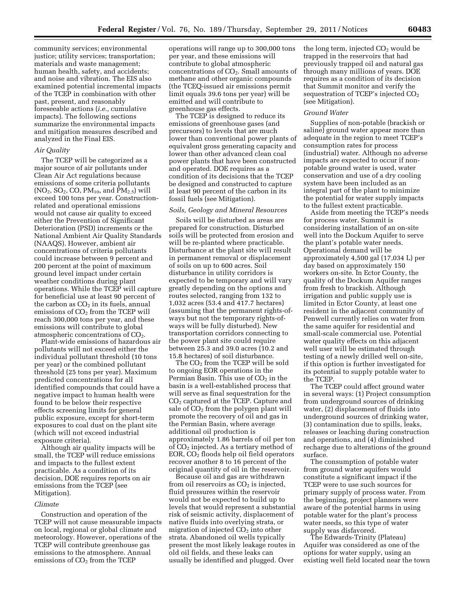community services; environmental justice; utility services; transportation; materials and waste management; human health, safety, and accidents; and noise and vibration. The EIS also examined potential incremental impacts of the TCEP in combination with other past, present, and reasonably foreseeable actions (*i.e.,* cumulative impacts). The following sections summarize the environmental impacts and mitigation measures described and analyzed in the Final EIS.

### *Air Quality*

The TCEP will be categorized as a major source of air pollutants under Clean Air Act regulations because emissions of some criteria pollutants  $(NO_2, SO_2, CO, PM_{10}, and PM_{2.5})$  will exceed 100 tons per year. Constructionrelated and operational emissions would not cause air quality to exceed either the Prevention of Significant Deterioration (PSD) increments or the National Ambient Air Quality Standards (NAAQS). However, ambient air concentrations of criteria pollutants could increase between 9 percent and 200 percent at the point of maximum ground level impact under certain weather conditions during plant operations. While the TCEP will capture for beneficial use at least 90 percent of the carbon as  $CO<sub>2</sub>$  in its fuels, annual emissions of  $CO<sub>2</sub>$  from the TCEP will reach 300,000 tons per year, and these emissions will contribute to global atmospheric concentrations of  $CO<sub>2</sub>$ .

Plant-wide emissions of hazardous air pollutants will not exceed either the individual pollutant threshold (10 tons per year) or the combined pollutant threshold (25 tons per year). Maximum predicted concentrations for all identified compounds that could have a negative impact to human health were found to be below their respective effects screening limits for general public exposure, except for short-term exposures to coal dust on the plant site (which will not exceed industrial exposure criteria).

Although air quality impacts will be small, the TCEP will reduce emissions and impacts to the fullest extent practicable. As a condition of its decision, DOE requires reports on air emissions from the TCEP (see Mitigation).

### *Climate*

Construction and operation of the TCEP will not cause measurable impacts on local, regional or global climate and meteorology. However, operations of the TCEP will contribute greenhouse gas emissions to the atmosphere. Annual emissions of CO<sub>2</sub> from the TCEP

operations will range up to 300,000 tons per year, and these emissions will contribute to global atmospheric concentrations of  $CO<sub>2</sub>$ . Small amounts of methane and other organic compounds (the TCEQ-issued air emissions permit limit equals 39.6 tons per year) will be emitted and will contribute to greenhouse gas effects.

The TCEP is designed to reduce its emissions of greenhouse gases (and precursors) to levels that are much lower than conventional power plants of equivalent gross generating capacity and lower than other advanced clean coal power plants that have been constructed and operated. DOE requires as a condition of its decisions that the TCEP be designed and constructed to capture at least 90 percent of the carbon in its fossil fuels (see Mitigation).

#### *Soils, Geology and Mineral Resources*

Soils will be disturbed as areas are prepared for construction. Disturbed soils will be protected from erosion and will be re-planted where practicable. Disturbance at the plant site will result in permanent removal or displacement of soils on up to 600 acres. Soil disturbance in utility corridors is expected to be temporary and will vary greatly depending on the options and routes selected, ranging from 132 to 1,032 acres (53.4 and 417.7 hectares) (assuming that the permanent rights-ofways but not the temporary rights-ofways will be fully disturbed). New transportation corridors connecting to the power plant site could require between 25.3 and 39.0 acres (10.2 and 15.8 hectares) of soil disturbance.

The  $CO<sub>2</sub>$  from the TCEP will be sold to ongoing EOR operations in the Permian Basin. This use of  $CO<sub>2</sub>$  in the basin is a well-established process that will serve as final sequestration for the CO2 captured at the TCEP. Capture and sale of  $CO<sub>2</sub>$  from the polygen plant will promote the recovery of oil and gas in the Permian Basin, where average additional oil production is approximately 1.86 barrels of oil per ton of CO2 injected. As a tertiary method of EOR,  $CO<sub>2</sub>$  floods help oil field operators recover another 8 to 16 percent of the original quantity of oil in the reservoir.

Because oil and gas are withdrawn from oil reservoirs as  $CO<sub>2</sub>$  is injected, fluid pressures within the reservoir would not be expected to build up to levels that would represent a substantial risk of seismic activity, displacement of native fluids into overlying strata, or migration of injected  $CO<sub>2</sub>$  into other strata. Abandoned oil wells typically present the most likely leakage routes in old oil fields, and these leaks can usually be identified and plugged. Over

the long term, injected  $CO<sub>2</sub>$  would be trapped in the reservoirs that had previously trapped oil and natural gas through many millions of years. DOE requires as a condition of its decision that Summit monitor and verify the sequestration of TCEP's injected  $CO<sub>2</sub>$ (see Mitigation).

### *Ground Water*

Supplies of non-potable (brackish or saline) ground water appear more than adequate in the region to meet TCEP's consumption rates for process (industrial) water. Although no adverse impacts are expected to occur if nonpotable ground water is used, water conservation and use of a dry cooling system have been included as an integral part of the plant to minimize the potential for water supply impacts to the fullest extent practicable.

Aside from meeting the TCEP's needs for process water, Summit is considering installation of an on-site well into the Dockum Aquifer to serve the plant's potable water needs. Operational demand will be approximately 4,500 gal (17,034 L) per day based on approximately 150 workers on-site. In Ector County, the quality of the Dockum Aquifer ranges from fresh to brackish. Although irrigation and public supply use is limited in Ector County, at least one resident in the adjacent community of Penwell currently relies on water from the same aquifer for residential and small-scale commercial use. Potential water quality effects on this adjacent well user will be estimated through testing of a newly drilled well on-site, if this option is further investigated for its potential to supply potable water to the TCEP.

The TCEP could affect ground water in several ways: (1) Project consumption from underground sources of drinking water, (2) displacement of fluids into underground sources of drinking water, (3) contamination due to spills, leaks, releases or leaching during construction and operations, and (4) diminished recharge due to alterations of the ground surface.

The consumption of potable water from ground water aquifers would constitute a significant impact if the TCEP were to use such sources for primary supply of process water. From the beginning, project planners were aware of the potential harms in using potable water for the plant's process water needs, so this type of water supply was disfavored.

The Edwards-Trinity (Plateau) Aquifer was considered as one of the options for water supply, using an existing well field located near the town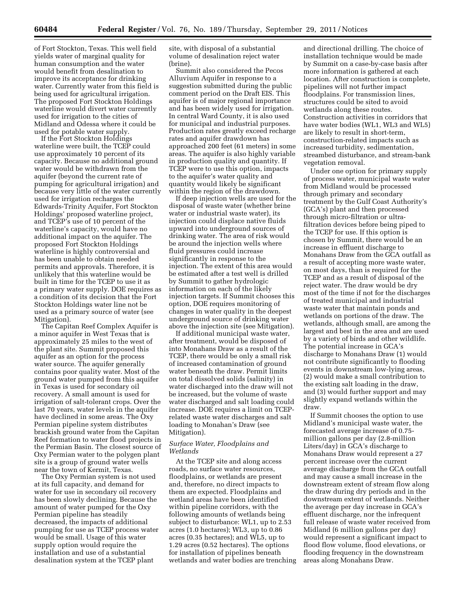of Fort Stockton, Texas. This well field yields water of marginal quality for human consumption and the water would benefit from desalination to improve its acceptance for drinking water. Currently water from this field is being used for agricultural irrigation. The proposed Fort Stockton Holdings waterline would divert water currently used for irrigation to the cities of Midland and Odessa where it could be used for potable water supply.

If the Fort Stockton Holdings waterline were built, the TCEP could use approximately 10 percent of its capacity. Because no additional ground water would be withdrawn from the aquifer (beyond the current rate of pumping for agricultural irrigation) and because very little of the water currently used for irrigation recharges the Edwards-Trinity Aquifer, Fort Stockton Holdings' proposed waterline project, and TCEP's use of 10 percent of the waterline's capacity, would have no additional impact on the aquifer. The proposed Fort Stockton Holdings waterline is highly controversial and has been unable to obtain needed permits and approvals. Therefore, it is unlikely that this waterline would be built in time for the TCEP to use it as a primary water supply. DOE requires as a condition of its decision that the Fort Stockton Holdings water line not be used as a primary source of water (see Mitigation).

The Capitan Reef Complex Aquifer is a minor aquifer in West Texas that is approximately 25 miles to the west of the plant site. Summit proposed this aquifer as an option for the process water source. The aquifer generally contains poor quality water. Most of the ground water pumped from this aquifer in Texas is used for secondary oil recovery. A small amount is used for irrigation of salt-tolerant crops. Over the last 70 years, water levels in the aquifer have declined in some areas. The Oxy Permian pipeline system distributes brackish ground water from the Capitan Reef formation to water flood projects in the Permian Basin. The closest source of Oxy Permian water to the polygen plant site is a group of ground water wells near the town of Kermit, Texas.

The Oxy Permian system is not used at its full capacity, and demand for water for use in secondary oil recovery has been slowly declining. Because the amount of water pumped for the Oxy Permian pipeline has steadily decreased, the impacts of additional pumping for use as TCEP process water would be small. Usage of this water supply option would require the installation and use of a substantial desalination system at the TCEP plant

site, with disposal of a substantial volume of desalination reject water (brine).

Summit also considered the Pecos Alluvium Aquifer in response to a suggestion submitted during the public comment period on the Draft EIS. This aquifer is of major regional importance and has been widely used for irrigation. In central Ward County, it is also used for municipal and industrial purposes. Production rates greatly exceed recharge rates and aquifer drawdown has approached 200 feet (61 meters) in some areas. The aquifer is also highly variable in production quality and quantity. If TCEP were to use this option, impacts to the aquifer's water quality and quantity would likely be significant within the region of the drawdown.

If deep injection wells are used for the disposal of waste water (whether brine water or industrial waste water), its injection could displace native fluids upward into underground sources of drinking water. The area of risk would be around the injection wells where fluid pressures could increase significantly in response to the injection. The extent of this area would be estimated after a test well is drilled by Summit to gather hydrologic information on each of the likely injection targets. If Summit chooses this option, DOE requires monitoring of changes in water quality in the deepest underground source of drinking water above the injection site (see Mitigation).

If additional municipal waste water, after treatment, would be disposed of into Monahans Draw as a result of the TCEP, there would be only a small risk of increased contamination of ground water beneath the draw. Permit limits on total dissolved solids (salinity) in water discharged into the draw will not be increased, but the volume of waste water discharged and salt loading could increase. DOE requires a limit on TCEPrelated waste water discharges and salt loading to Monahan's Draw (see Mitigation).

### *Surface Water, Floodplains and Wetlands*

At the TCEP site and along access roads, no surface water resources, floodplains, or wetlands are present and, therefore, no direct impacts to them are expected. Floodplains and wetland areas have been identified within pipeline corridors, with the following amounts of wetlands being subject to disturbance: WL1, up to 2.53 acres (1.0 hectares); WL3, up to 0.86 acres (0.35 hectares); and WL5, up to 1.29 acres (0.52 hectares). The options for installation of pipelines beneath wetlands and water bodies are trenching

and directional drilling. The choice of installation technique would be made by Summit on a case-by-case basis after more information is gathered at each location. After construction is complete, pipelines will not further impact floodplains. For transmission lines, structures could be sited to avoid wetlands along these routes. Construction activities in corridors that have water bodies (WL1, WL3 and WL5) are likely to result in short-term, construction-related impacts such as increased turbidity, sedimentation, streambed disturbance, and stream-bank vegetation removal.

Under one option for primary supply of process water, municipal waste water from Midland would be processed through primary and secondary treatment by the Gulf Coast Authority's (GCA's) plant and then processed through micro-filtration or ultrafiltration devices before being piped to the TCEP for use. If this option is chosen by Summit, there would be an increase in effluent discharge to Monahans Draw from the GCA outfall as a result of accepting more waste water, on most days, than is required for the TCEP and as a result of disposal of the reject water. The draw would be dry most of the time if not for the discharges of treated municipal and industrial waste water that maintain ponds and wetlands on portions of the draw. The wetlands, although small, are among the largest and best in the area and are used by a variety of birds and other wildlife. The potential increase in GCA's discharge to Monahans Draw (1) would not contribute significantly to flooding events in downstream low-lying areas, (2) would make a small contribution to the existing salt loading in the draw, and (3) would further support and may slightly expand wetlands within the draw.

If Summit chooses the option to use Midland's municipal waste water, the forecasted average increase of 0.75 million gallons per day (2.8-million Liters/day) in GCA's discharge to Monahans Draw would represent a 27 percent increase over the current average discharge from the GCA outfall and may cause a small increase in the downstream extent of stream flow along the draw during dry periods and in the downstream extent of wetlands. Neither the average per day increase in GCA's effluent discharge, nor the infrequent full release of waste water received from Midland (6 million gallons per day) would represent a significant impact to flood flow volume, flood elevations, or flooding frequency in the downstream areas along Monahans Draw.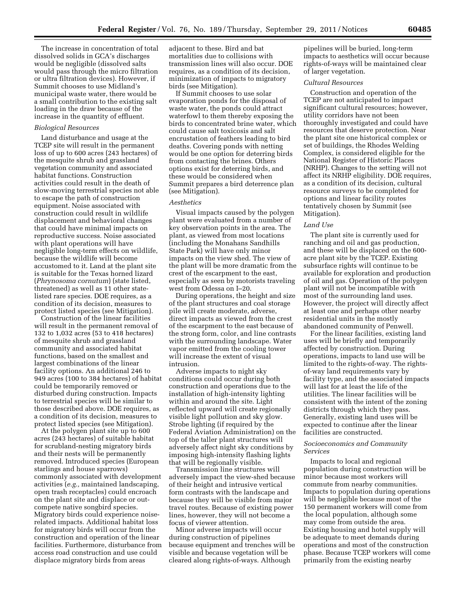The increase in concentration of total dissolved solids in GCA's discharges would be negligible (dissolved salts would pass through the micro filtration or ultra filtration devices). However, if Summit chooses to use Midland's municipal waste water, there would be a small contribution to the existing salt loading in the draw because of the increase in the quantity of effluent.

#### *Biological Resources*

Land disturbance and usage at the TCEP site will result in the permanent loss of up to 600 acres (243 hectares) of the mesquite shrub and grassland vegetation community and associated habitat functions. Construction activities could result in the death of slow-moving terrestrial species not able to escape the path of construction equipment. Noise associated with construction could result in wildlife displacement and behavioral changes that could have minimal impacts on reproductive success. Noise associated with plant operations will have negligible long-term effects on wildlife, because the wildlife will become accustomed to it. Land at the plant site is suitable for the Texas horned lizard (*Phrynosoma cornutum*) (state listed, threatened) as well as 11 other statelisted rare species. DOE requires, as a condition of its decision, measures to protect listed species (see Mitigation).

Construction of the linear facilities will result in the permanent removal of 132 to 1,032 acres (53 to 418 hectares) of mesquite shrub and grassland community and associated habitat functions, based on the smallest and largest combinations of the linear facility options. An additional 246 to 949 acres (100 to 384 hectares) of habitat could be temporarily removed or disturbed during construction. Impacts to terrestrial species will be similar to those described above. DOE requires, as a condition of its decision, measures to protect listed species (see Mitigation).

At the polygen plant site up to 600 acres (243 hectares) of suitable habitat for scrubland-nesting migratory birds and their nests will be permanently removed. Introduced species (European starlings and house sparrows) commonly associated with development activities (*e.g.,* maintained landscaping, open trash receptacles) could encroach on the plant site and displace or outcompete native songbird species. Migratory birds could experience noiserelated impacts. Additional habitat loss for migratory birds will occur from the construction and operation of the linear facilities. Furthermore, disturbance from access road construction and use could displace migratory birds from areas

adjacent to these. Bird and bat mortalities due to collisions with transmission lines will also occur. DOE requires, as a condition of its decision, minimization of impacts to migratory birds (see Mitigation).

If Summit chooses to use solar evaporation ponds for the disposal of waste water, the ponds could attract waterfowl to them thereby exposing the birds to concentrated brine water, which could cause salt toxicosis and salt encrustation of feathers leading to bird deaths. Covering ponds with netting would be one option for deterring birds from contacting the brines. Others options exist for deterring birds, and these would be considered when Summit prepares a bird deterrence plan (see Mitigation).

#### *Aesthetics*

Visual impacts caused by the polygen plant were evaluated from a number of key observation points in the area. The plant, as viewed from most locations (including the Monahans Sandhills State Park) will have only minor impacts on the view shed. The view of the plant will be more dramatic from the crest of the escarpment to the east, especially as seen by motorists traveling west from Odessa on I–20.

During operations, the height and size of the plant structures and coal storage pile will create moderate, adverse, direct impacts as viewed from the crest of the escarpment to the east because of the strong form, color, and line contrasts with the surrounding landscape. Water vapor emitted from the cooling tower will increase the extent of visual intrusion.

Adverse impacts to night sky conditions could occur during both construction and operations due to the installation of high-intensity lighting within and around the site. Light reflected upward will create regionally visible light pollution and sky glow. Strobe lighting (if required by the Federal Aviation Administration) on the top of the taller plant structures will adversely affect night sky conditions by imposing high-intensity flashing lights that will be regionally visible.

Transmission line structures will adversely impact the view-shed because of their height and intrusive vertical form contrasts with the landscape and because they will be visible from major travel routes. Because of existing power lines, however, they will not become a focus of viewer attention.

Minor adverse impacts will occur during construction of pipelines because equipment and trenches will be visible and because vegetation will be cleared along rights-of-ways. Although

pipelines will be buried, long-term impacts to aesthetics will occur because rights-of-ways will be maintained clear of larger vegetation.

### *Cultural Resources*

Construction and operation of the TCEP are not anticipated to impact significant cultural resources; however, utility corridors have not been thoroughly investigated and could have resources that deserve protection. Near the plant site one historical complex or set of buildings, the Rhodes Welding Complex, is considered eligible for the National Register of Historic Places (NRHP). Changes to the setting will not affect its NRHP eligibility. DOE requires, as a condition of its decision, cultural resource surveys to be completed for options and linear facility routes tentatively chosen by Summit (see Mitigation).

#### *Land Use*

The plant site is currently used for ranching and oil and gas production, and these will be displaced on the 600 acre plant site by the TCEP. Existing subsurface rights will continue to be available for exploration and production of oil and gas. Operation of the polygen plant will not be incompatible with most of the surrounding land uses. However, the project will directly affect at least one and perhaps other nearby residential units in the mostly abandoned community of Penwell.

For the linear facilities, existing land uses will be briefly and temporarily affected by construction. During operations, impacts to land use will be limited to the rights-of-way. The rightsof-way land requirements vary by facility type, and the associated impacts will last for at least the life of the utilities. The linear facilities will be consistent with the intent of the zoning districts through which they pass. Generally, existing land uses will be expected to continue after the linear facilities are constructed.

# *Socioeconomics and Community Services*

Impacts to local and regional population during construction will be minor because most workers will commute from nearby communities. Impacts to population during operations will be negligible because most of the 150 permanent workers will come from the local population, although some may come from outside the area. Existing housing and hotel supply will be adequate to meet demands during operations and most of the construction phase. Because TCEP workers will come primarily from the existing nearby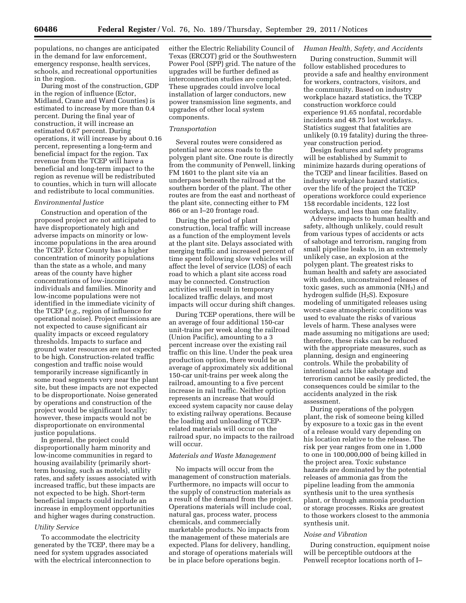populations, no changes are anticipated in the demand for law enforcement, emergency response, health services, schools, and recreational opportunities in the region.

During most of the construction, GDP in the region of influence (Ector, Midland, Crane and Ward Counties) is estimated to increase by more than 0.4 percent. During the final year of construction, it will increase an estimated 0.67 percent. During operations, it will increase by about 0.16 percent, representing a long-term and beneficial impact for the region. Tax revenue from the TCEP will have a beneficial and long-term impact to the region as revenue will be redistributed to counties, which in turn will allocate and redistribute to local communities.

# *Environmental Justice*

Construction and operation of the proposed project are not anticipated to have disproportionately high and adverse impacts on minority or lowincome populations in the area around the TCEP. Ector County has a higher concentration of minority populations than the state as a whole, and many areas of the county have higher concentrations of low-income individuals and families. Minority and low-income populations were not identified in the immediate vicinity of the TCEP (*e.g.,* region of influence for operational noise). Project emissions are not expected to cause significant air quality impacts or exceed regulatory thresholds. Impacts to surface and ground water resources are not expected to be high. Construction-related traffic congestion and traffic noise would temporarily increase significantly in some road segments very near the plant site, but these impacts are not expected to be disproportionate. Noise generated by operations and construction of the project would be significant locally; however, these impacts would not be disproportionate on environmental justice populations.

In general, the project could disproportionally harm minority and low-income communities in regard to housing availability (primarily shortterm housing, such as motels), utility rates, and safety issues associated with increased traffic, but these impacts are not expected to be high. Short-term beneficial impacts could include an increase in employment opportunities and higher wages during construction.

### *Utility Service*

To accommodate the electricity generated by the TCEP, there may be a need for system upgrades associated with the electrical interconnection to

either the Electric Reliability Council of Texas (ERCOT) grid or the Southwestern Power Pool (SPP) grid. The nature of the upgrades will be further defined as interconnection studies are completed. These upgrades could involve local installation of larger conductors, new power transmission line segments, and upgrades of other local system components.

#### *Transportation*

Several routes were considered as potential new access roads to the polygen plant site. One route is directly from the community of Penwell, linking FM 1601 to the plant site via an underpass beneath the railroad at the southern border of the plant. The other routes are from the east and northeast of the plant site, connecting either to FM 866 or an I–20 frontage road.

During the period of plant construction, local traffic will increase as a function of the employment levels at the plant site. Delays associated with merging traffic and increased percent of time spent following slow vehicles will affect the level of service (LOS) of each road to which a plant site access road may be connected. Construction activities will result in temporary localized traffic delays, and most impacts will occur during shift changes.

During TCEP operations, there will be an average of four additional 150-car unit-trains per week along the railroad (Union Pacific), amounting to a 3 percent increase over the existing rail traffic on this line. Under the peak urea production option, there would be an average of approximately six additional 150-car unit-trains per week along the railroad, amounting to a five percent increase in rail traffic. Neither option represents an increase that would exceed system capacity nor cause delay to existing railway operations. Because the loading and unloading of TCEPrelated materials will occur on the railroad spur, no impacts to the railroad will occur.

#### *Materials and Waste Management*

No impacts will occur from the management of construction materials. Furthermore, no impacts will occur to the supply of construction materials as a result of the demand from the project. Operations materials will include coal, natural gas, process water, process chemicals, and commercially marketable products. No impacts from the management of these materials are expected. Plans for delivery, handling, and storage of operations materials will be in place before operations begin.

## *Human Health, Safety, and Accidents*

During construction, Summit will follow established procedures to provide a safe and healthy environment for workers, contractors, visitors, and the community. Based on industry workplace hazard statistics, the TCEP construction workforce could experience 91.65 nonfatal, recordable incidents and 48.75 lost workdays. Statistics suggest that fatalities are unlikely (0.19 fatality) during the threeyear construction period.

Design features and safety programs will be established by Summit to minimize hazards during operations of the TCEP and linear facilities. Based on industry workplace hazard statistics, over the life of the project the TCEP operations workforce could experience 158 recordable incidents, 122 lost workdays, and less than one fatality.

Adverse impacts to human health and safety, although unlikely, could result from various types of accidents or acts of sabotage and terrorism, ranging from small pipeline leaks to, in an extremely unlikely case, an explosion at the polygen plant. The greatest risks to human health and safety are associated with sudden, unconstrained releases of toxic gases, such as ammonia  $(NH<sub>3</sub>)$  and hydrogen sulfide (H2S). Exposure modeling of unmitigated releases using worst-case atmospheric conditions was used to evaluate the risks of various levels of harm. These analyses were made assuming no mitigations are used; therefore, these risks can be reduced with the appropriate measures, such as planning, design and engineering controls. While the probability of intentional acts like sabotage and terrorism cannot be easily predicted, the consequences could be similar to the accidents analyzed in the risk assessment.

During operations of the polygen plant, the risk of someone being killed by exposure to a toxic gas in the event of a release would vary depending on his location relative to the release. The risk per year ranges from one in 1,000 to one in 100,000,000 of being killed in the project area. Toxic substance hazards are dominated by the potential releases of ammonia gas from the pipeline leading from the ammonia synthesis unit to the urea synthesis plant, or through ammonia production or storage processes. Risks are greatest to those workers closest to the ammonia synthesis unit.

#### *Noise and Vibration*

During construction, equipment noise will be perceptible outdoors at the Penwell receptor locations north of I–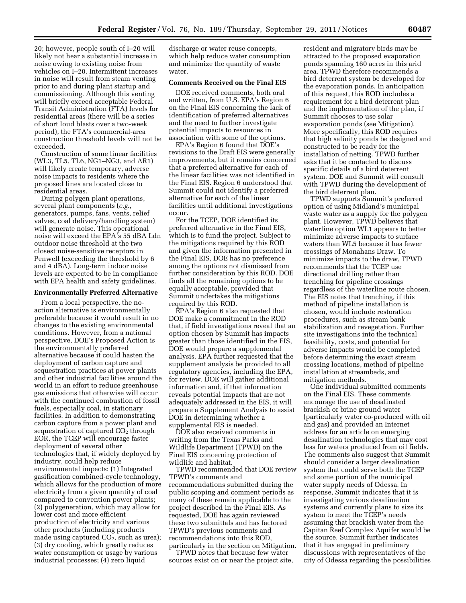20; however, people south of I–20 will likely not hear a substantial increase in noise owing to existing noise from vehicles on I–20. Intermittent increases in noise will result from steam venting prior to and during plant startup and commissioning. Although this venting will briefly exceed acceptable Federal Transit Administration (FTA) levels for residential areas (there will be a series of short loud blasts over a two-week period), the FTA's commercial-area construction threshold levels will not be exceeded.

Construction of some linear facilities (WL3, TL5, TL6, NG1–NG3, and AR1) will likely create temporary, adverse noise impacts to residents where the proposed lines are located close to residential areas.

During polygen plant operations, several plant components (*e.g.,*  generators, pumps, fans, vents, relief valves, coal delivery/handling system) will generate noise. This operational noise will exceed the EPA's 55 dBA Ldn outdoor noise threshold at the two closest noise-sensitive receptors in Penwell (exceeding the threshold by 6 and 4 dBA). Long-term indoor noise levels are expected to be in compliance with EPA health and safety guidelines.

## **Environmentally Preferred Alternative**

From a local perspective, the noaction alternative is environmentally preferable because it would result in no changes to the existing environmental conditions. However, from a national perspective, DOE's Proposed Action is the environmentally preferred alternative because it could hasten the deployment of carbon capture and sequestration practices at power plants and other industrial facilities around the world in an effort to reduce greenhouse gas emissions that otherwise will occur with the continued combustion of fossil fuels, especially coal, in stationary facilities. In addition to demonstrating carbon capture from a power plant and sequestration of captured  $CO<sub>2</sub>$  through EOR, the TCEP will encourage faster deployment of several other technologies that, if widely deployed by industry, could help reduce environmental impacts: (1) Integrated gasification combined-cycle technology, which allows for the production of more electricity from a given quantity of coal compared to convention power plants; (2) polygeneration, which may allow for lower cost and more efficient production of electricity and various other products (including products made using captured  $CO<sub>2</sub>$ , such as urea); (3) dry cooling, which greatly reduces water consumption or usage by various industrial processes; (4) zero liquid

discharge or water reuse concepts, which help reduce water consumption and minimize the quantity of waste water.

# **Comments Received on the Final EIS**

DOE received comments, both oral and written, from U.S. EPA's Region 6 on the Final EIS concerning the lack of identification of preferred alternatives and the need to further investigate potential impacts to resources in association with some of the options.

EPA's Region 6 found that DOE's revisions to the Draft EIS were generally improvements, but it remains concerned that a preferred alternative for each of the linear facilities was not identified in the Final EIS. Region 6 understood that Summit could not identify a preferred alternative for each of the linear facilities until additional investigations occur.

For the TCEP, DOE identified its preferred alternative in the Final EIS, which is to fund the project. Subject to the mitigations required by this ROD and given the information presented in the Final EIS, DOE has no preference among the options not dismissed from further consideration by this ROD. DOE finds all the remaining options to be equally acceptable, provided that Summit undertakes the mitigations required by this ROD.

EPA's Region 6 also requested that DOE make a commitment in the ROD that, if field investigations reveal that an option chosen by Summit has impacts greater than those identified in the EIS, DOE would prepare a supplemental analysis. EPA further requested that the supplement analysis be provided to all regulatory agencies, including the EPA, for review. DOE will gather additional information and, if that information reveals potential impacts that are not adequately addressed in the EIS, it will prepare a Supplement Analysis to assist DOE in determining whether a supplemental EIS is needed.

DOE also received comments in writing from the Texas Parks and Wildlife Department (TPWD) on the Final EIS concerning protection of wildlife and habitat.

TPWD recommended that DOE review TPWD's comments and recommendations submitted during the public scoping and comment periods as many of these remain applicable to the project described in the Final EIS. As requested, DOE has again reviewed these two submittals and has factored TPWD's previous comments and recommendations into this ROD, particularly in the section on Mitigation.

TPWD notes that because few water sources exist on or near the project site, resident and migratory birds may be attracted to the proposed evaporation ponds spanning 160 acres in this arid area. TPWD therefore recommends a bird deterrent system be developed for the evaporation ponds. In anticipation of this request, this ROD includes a requirement for a bird deterrent plan and the implementation of the plan, if Summit chooses to use solar evaporation ponds (see Mitigation). More specifically, this ROD requires that high salinity ponds be designed and constructed to be ready for the installation of netting. TPWD further asks that it be contacted to discuss specific details of a bird deterrent system. DOE and Summit will consult with TPWD during the development of the bird deterrent plan.

TPWD supports Summit's preferred option of using Midland's municipal waste water as a supply for the polygen plant. However, TPWD believes that waterline option WL1 appears to better minimize adverse impacts to surface waters than WL5 because it has fewer crossings of Monahans Draw. To minimize impacts to the draw, TPWD recommends that the TCEP use directional drilling rather than trenching for pipeline crossings regardless of the waterline route chosen. The EIS notes that trenching, if this method of pipeline installation is chosen, would include restoration procedures, such as stream bank stabilization and revegetation. Further site investigations into the technical feasibility, costs, and potential for adverse impacts would be completed before determining the exact stream crossing locations, method of pipeline installation at streambeds, and mitigation methods.

One individual submitted comments on the Final EIS. These comments encourage the use of desalinated brackish or brine ground water (particularly water co-produced with oil and gas) and provided an Internet address for an article on emerging desalination technologies that may cost less for waters produced from oil fields. The comments also suggest that Summit should consider a larger desalination system that could serve both the TCEP and some portion of the municipal water supply needs of Odessa. In response, Summit indicates that it is investigating various desalination systems and currently plans to size its system to meet the TCEP's needs assuming that brackish water from the Capitan Reef Complex Aquifer would be the source. Summit further indicates that it has engaged in preliminary discussions with representatives of the city of Odessa regarding the possibilities